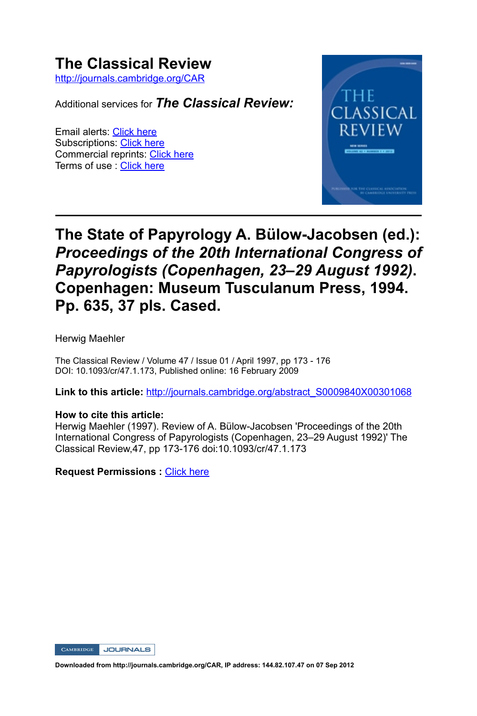## **The Classical Review**

http://journals.cambridge.org/CAR

Additional services for *The Classical Review:*

Email alerts: Click here Subscriptions: Click here Commercial reprints: Click here Terms of use : Click here



## The State of Papyrology A. Bülow-Jacobsen (ed.): *Proceedings of the 20th International Congress of Papyrologists (Copenhagen, 23–29 August 1992)***. Copenhagen: Museum Tusculanum Press, 1994. Pp. 635, 37 pls. Cased.**

Herwig Maehler

The Classical Review / Volume 47 / Issue 01 / April 1997, pp 173 176 DOI: 10.1093/cr/47.1.173, Published online: 16 February 2009

**Link to this article:** http://journals.cambridge.org/abstract\_S0009840X00301068

## **How to cite this article:**

Herwig Maehler (1997). Review of A. Bülow-Jacobsen 'Proceedings of the 20th International Congress of Papyrologists (Copenhagen, 23–29 August 1992)' The Classical Review,47, pp 173176 doi:10.1093/cr/47.1.173

**Request Permissions :** Click here

**CAMBRIDGE** JOURNALS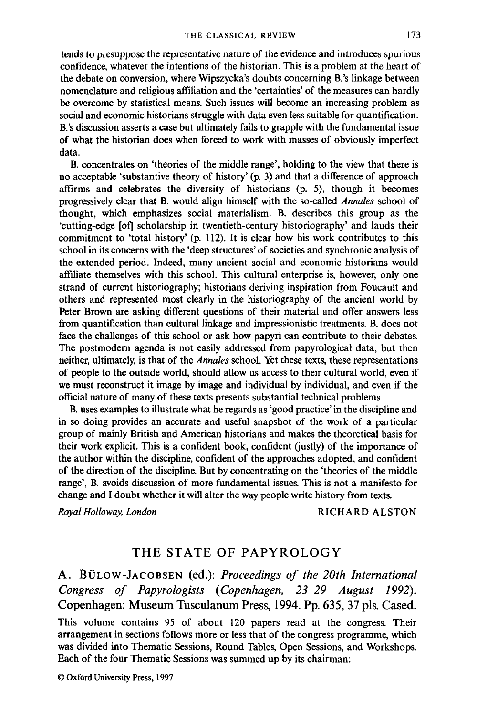tends to presuppose the representative nature of the evidence and introduces spurious confidence, whatever the intentions of the historian. This is a problem at the heart of the debate on conversion, where Wipszycka's doubts concerning B.'s linkage between nomenclature and religious affiliation and the 'certainties' of the measures can hardly be overcome by statistical means. Such issues will become an increasing problem as social and economic historians struggle with data even less suitable for quantification. B.'s discussion asserts a case but ultimately fails to grapple with the fundamental issue of what the historian does when forced to work with masses of obviously imperfect data.

B. concentrates on 'theories of the middle range', holding to the view that there is no acceptable 'substantive theory of history' (p. 3) and that a difference of approach affirms and celebrates the diversity of historians (p. 5), though it becomes progressively clear that B. would align himself with the so-called *Annales* school of thought, which emphasizes social materialism. B. describes this group as the 'cutting-edge [of] scholarship in twentieth-century historiography' and lauds their commitment to 'total history' (p. 112). It is clear how his work contributes to this school in its concerns with the 'deep structures' of societies and synchronic analysis of the extended period. Indeed, many ancient social and economic historians would affiliate themselves with this school. This cultural enterprise is, however, only one strand of current historiography; historians deriving inspiration from Foucault and others and represented most clearly in the historiography of the ancient world by Peter Brown are asking different questions of their material and offer answers less from quantification than cultural linkage and impressionistic treatments. B. does not face the challenges of this school or ask how papyri can contribute to their debates. The postmodern agenda is not easily addressed from papyrological data, but then neither, ultimately, is that of the *Annales* school. Yet these texts, these representations of people to the outside world, should allow us access to their cultural world, even if we must reconstruct it image by image and individual by individual, and even if the official nature of many of these texts presents substantial technical problems.

B. uses examples to illustrate what he regards as 'good practice' in the discipline and in so doing provides an accurate and useful snapshot of the work of a particular group of mainly British and American historians and makes the theoretical basis for their work explicit. This is a confident book, confident (justly) of the importance of the author within the discipline, confident of the approaches adopted, and confident of the direction of the discipline. But by concentrating on the 'theories of the middle range', B. avoids discussion of more fundamental issues. This is not a manifesto for change and I doubt whether it will alter the way people write history from texts.

*Royal Holloway, London* RICHARD ALSTON

## THE STATE OF PAPYROLOGY

A. BULOW-JACOBSEN (ed.): *Proceedings of the 20th International Congress of Papyrologists {Copenhagen, 23-29 August 1992).* Copenhagen: Museum Tusculanum Press, 1994. Pp. 635, 37 pis. Cased.

This volume contains 95 of about 120 papers read at the congress. Their arrangement in sections follows more or less that of the congress programme, which was divided into Thematic Sessions, Round Tables, Open Sessions, and Workshops. Each of the four Thematic Sessions was summed up by its chairman:

© Oxford University Press, 1997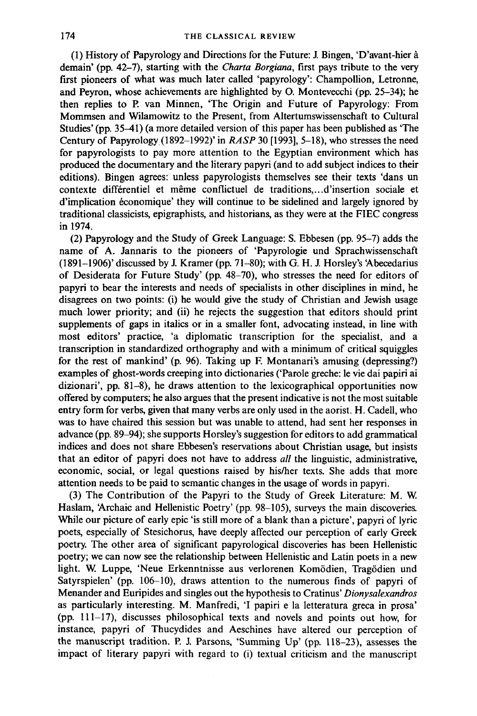(1) History of Papyrology and Directions for the Future: J. Bingen, 'D'avant-hier a demain' (pp. 42-7), starting with the *Charta Borgiana,* first pays tribute to the very first pioneers of what was much later called 'papyrology': Champollion, Letronne, and Peyron, whose achievements are highlighted by O. Montevecchi (pp. 25-34); he then replies to P. van Minnen, 'The Origin and Future of Papyrology: From Mommsen and Wilamowitz to the Present, from Altertumswissenschaft to Cultural Studies' (pp. 35-41) (a more detailed version of this paper has been published as 'The Century of Papyrology (1892-1992)' in *RASP* 30 [1993], 5-18), who stresses the need for papyrologists to pay more attention to the Egyptian environment which has produced the documentary and the literary papyri (and to add subject indices to their editions). Bingen agrees: unless papyrologists themselves see their texts 'dans un contexte differentiel et meme conflictuel de traditions,...d'insertion sociale et d'implication economique' they will continue to be sidelined and largely ignored by traditional classicists, epigraphists, and historians, as they were at the FIEC congress in 1974.

(2) Papyrology and the Study of Greek Language: S. Ebbesen (pp. 95-7) adds the name of A. Jannaris to the pioneers of 'Papyrologie und Sprachwissenschaft (1891-1906)' discussed by J. Kramer (pp. 71-80); with G. H. J. Horsley's 'Abecedarius of Desiderata for Future Study' (pp. 48-70), who stresses the need for editors of papyri to bear the interests and needs of specialists in other disciplines in mind, he disagrees on two points: (i) he would give the study of Christian and Jewish usage much lower priority; and (ii) he rejects the suggestion that editors should print supplements of gaps in italics or in a smaller font, advocating instead, in line with most editors' practice, 'a diplomatic transcription for the specialist, and a transcription in standardized orthography and with a minimum of critical squiggles for the rest of mankind' (p. 96). Taking up F. Montanari's amusing (depressing?) examples of ghost-words creeping into dictionaries ('Parole greche: le vie dai papiri ai dizionari', pp. 81-8), he draws attention to the lexicographical opportunities now offered by computers; he also argues that the present indicative is not the most suitable entry form for verbs, given that many verbs are only used in the aorist. H. Cadell, who was to have chaired this session but was unable to attend, had sent her responses in advance (pp. 89-94); she supports Horsley's suggestion for editors to add grammatical indices and does not share Ebbesen's reservations about Christian usage, but insists that an editor of papyri does not have to address *all* the linguistic, administrative, economic, social, or legal questions raised by his/her texts. She adds that more attention needs to be paid to semantic changes in the usage of words in papyri.

(3) The Contribution of the Papyri to the Study of Greek Literature: M. W. Haslam, 'Archaic and Hellenistic Poetry' (pp. 98-105), surveys the main discoveries. While our picture of early epic 'is still more of a blank than a picture', papyri of lyric poets, especially of Stesichorus, have deeply affected our perception of early Greek poetry. The other area of significant papyrological discoveries has been Hellenistic poetry; we can now see the relationship between Hellenistic and Latin poets in a new light. W. Luppe, 'Neue Erkenntnisse aus verlorenen Komodien, Tragodien und Satyrspielen' (pp. 106-10), draws attention to the numerous finds of papyri of Menander and Euripides and singles out the hypothesis to Cratinus' *Dionysalexandros* as particularly interesting. M. Manfredi, 'I papiri e la letteratura greca in prosa' (pp. 111-17), discusses philosophical texts and novels and points out how, for instance, papyri of Thucydides and Aeschines have altered our perception of the manuscript tradition. P. J. Parsons, 'Summing Up' (pp. 118-23), assesses the impact of literary papyri with regard to (i) textual criticism and the manuscript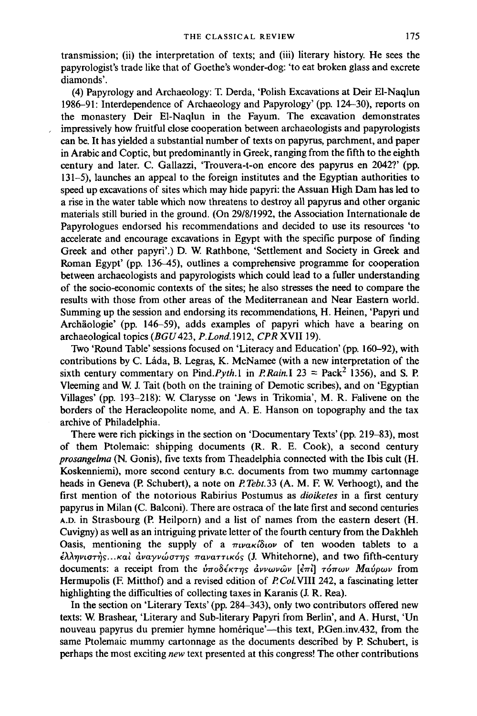transmission; (ii) the interpretation of texts; and (iii) literary history. He sees the papyrologist's trade like that of Goethe's wonder-dog: 'to eat broken glass and excrete diamonds'.

(4) Papyrology and Archaeology: T. Derda, 'Polish Excavations at Deir El-Naqlun 1986-91: Interdependence of Archaeology and Papyrology' (pp. 124-30), reports on the monastery Deir El-Naqlun in the Fayum. The excavation demonstrates impressively how fruitful close cooperation between archaeologists and papyrologists can be. It has yielded a substantial number of texts on papyrus, parchment, and paper in Arabic and Coptic, but predominantly in Greek, ranging from the fifth to the eighth century and later. C. Gallazzi, Trouvera-t-on encore des papyrus en 2042?' (pp. 131-5), launches an appeal to the foreign institutes and the Egyptian authorities to speed up excavations of sites which may hide papyri: the Assuan High Dam has led to a rise in the water table which now threatens to destroy all papyrus and other organic materials still buried in the ground. (On 29/8/1992, the Association Internationale de Papyrologues endorsed his recommendations and decided to use its resources 'to accelerate and encourage excavations in Egypt with the specific purpose of finding Greek and other papyri'.) D. W. Rathbone, 'Settlement and Society in Greek and Roman Egypt' (pp. 136-45), outlines a comprehensive programme for cooperation between archaeologists and papyrologists which could lead to a fuller understanding of the socio-economic contexts of the sites; he also stresses the need to compare the results with those from other areas of the Mediterranean and Near Eastern world. Summing up the session and endorsing its recommendations, H. Heinen, 'Papyri und Archaologie' (pp. 146-59), adds examples of papyri which have a bearing on archaeological topics *(BGU*423, *P.Lond.l9\2, CPR* XVII19).

Two 'Round Table' sessions focused on 'Literacy and Education' (pp. 160-92), with contributions by C. Lada, B. Legras, K. McNamee (with a new interpretation of the sixth century commentary on Pind. *Pyth*.1 in *P. Rain.* I  $23 = \text{Pack}^2$  1356), and S. P. Vleeming and W. J. Tait (both on the training of Demotic scribes), and on 'Egyptian Villages' (pp. 193-218): W. Clarysse on 'Jews in Trikomia', M. R. Falivene on the borders of the Heracleopolite nome, and A. E. Hanson on topography and the tax archive of Philadelphia.

There were rich pickings in the section on 'Documentary Texts' (pp. 219-83), most of them Ptolemaic: shipping documents (R. R. E. Cook), a second century *prosangelma* (N. Gonis), five texts from Theadelphia connected with the Ibis cult (H. Koskenniemi), more second century B.C. documents from two mummy cartonnage heads in Geneva (P. Schubert), a note on *P.Tebt.33* (A. M. F. W Verhoogt), and the first mention of the notorious Rabirius Postumus as *dioiketes* in a first century papyrus in Milan (C. Balconi). There are ostraca of the late first and second centuries A.D. in Strasbourg (P. Heilporn) and a list of names from the eastern desert (H. Cuvigny) as well as an intriguing private letter of the fourth century from the Dakhleh Oasis, mentioning the supply of a  $\pi \nu \alpha \kappa i \delta \omega \nu$  of ten wooden tablets to a *eXXrjviaTr)s...Kal avayvwarrjs navaTTixos* (J. Whitehorne), and two fifth-century documents: a receipt from the *υποδέκτης αννωνών* [επι] τόπων Μαύρων from Hermupolis (F. Mitthof) and a revised edition of *P. Col.* VIII 242, a fascinating letter highlighting the difficulties of collecting taxes in Karanis (J. R. Rea).

In the section on 'Literary Texts' (pp. 284-343), only two contributors offered new texts: W. Brashear, 'Literary and Sub-literary Papyri from Berlin', and A. Hurst, 'Un nouveau papyrus du premier hymne homerique'—this text, P.Gen.inv.432, from the same Ptolemaic mummy cartonnage as the documents described by P. Schubert, is perhaps the most exciting *new* text presented at this congress! The other contributions